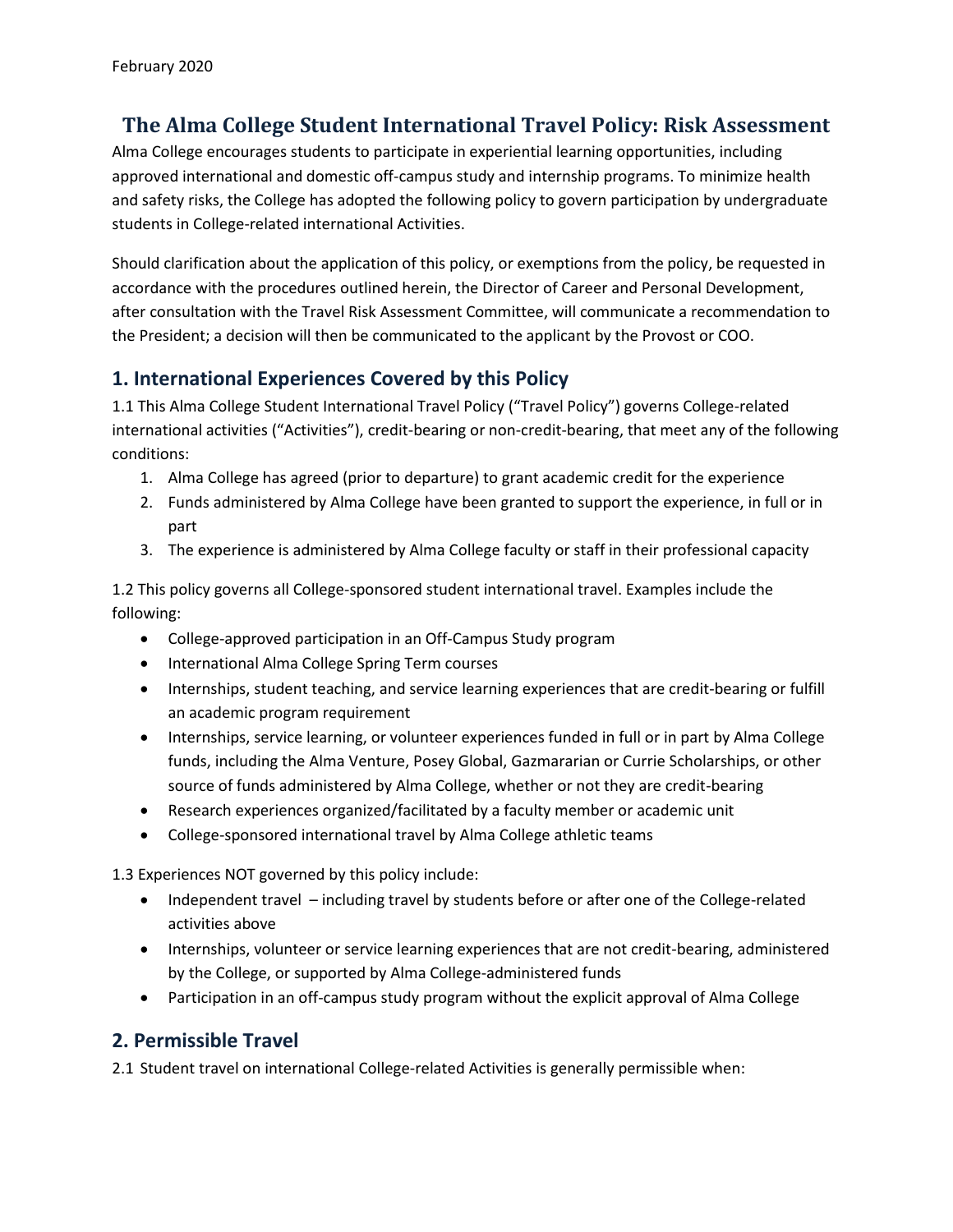# **The Alma College Student International Travel Policy: Risk Assessment**

Alma College encourages students to participate in experiential learning opportunities, including approved international and domestic off-campus study and internship programs. To minimize health and safety risks, the College has adopted the following policy to govern participation by undergraduate students in College-related international Activities.

Should clarification about the application of this policy, or exemptions from the policy, be requested in accordance with the procedures outlined herein, the Director of Career and Personal Development, after consultation with the Travel Risk Assessment Committee, will communicate a recommendation to the President; a decision will then be communicated to the applicant by the Provost or COO.

## **1. International Experiences Covered by this Policy**

1.1 This Alma College Student International Travel Policy ("Travel Policy") governs College-related international activities ("Activities"), credit-bearing or non-credit-bearing, that meet any of the following conditions:

- 1. Alma College has agreed (prior to departure) to grant academic credit for the experience
- 2. Funds administered by Alma College have been granted to support the experience, in full or in part
- 3. The experience is administered by Alma College faculty or staff in their professional capacity

1.2 This policy governs all College-sponsored student international travel. Examples include the following:

- College-approved participation in an Off-Campus Study program
- International Alma College Spring Term courses
- Internships, student teaching, and service learning experiences that are credit-bearing or fulfill an academic program requirement
- Internships, service learning, or volunteer experiences funded in full or in part by Alma College funds, including the Alma Venture, Posey Global, Gazmararian or Currie Scholarships, or other source of funds administered by Alma College, whether or not they are credit-bearing
- Research experiences organized/facilitated by a faculty member or academic unit
- College-sponsored international travel by Alma College athletic teams

1.3 Experiences NOT governed by this policy include:

- Independent travel including travel by students before or after one of the College-related activities above
- Internships, volunteer or service learning experiences that are not credit-bearing, administered by the College, or supported by Alma College-administered funds
- Participation in an off-campus study program without the explicit approval of Alma College

# **2. Permissible Travel**

2.1 Student travel on international College-related Activities is generally permissible when: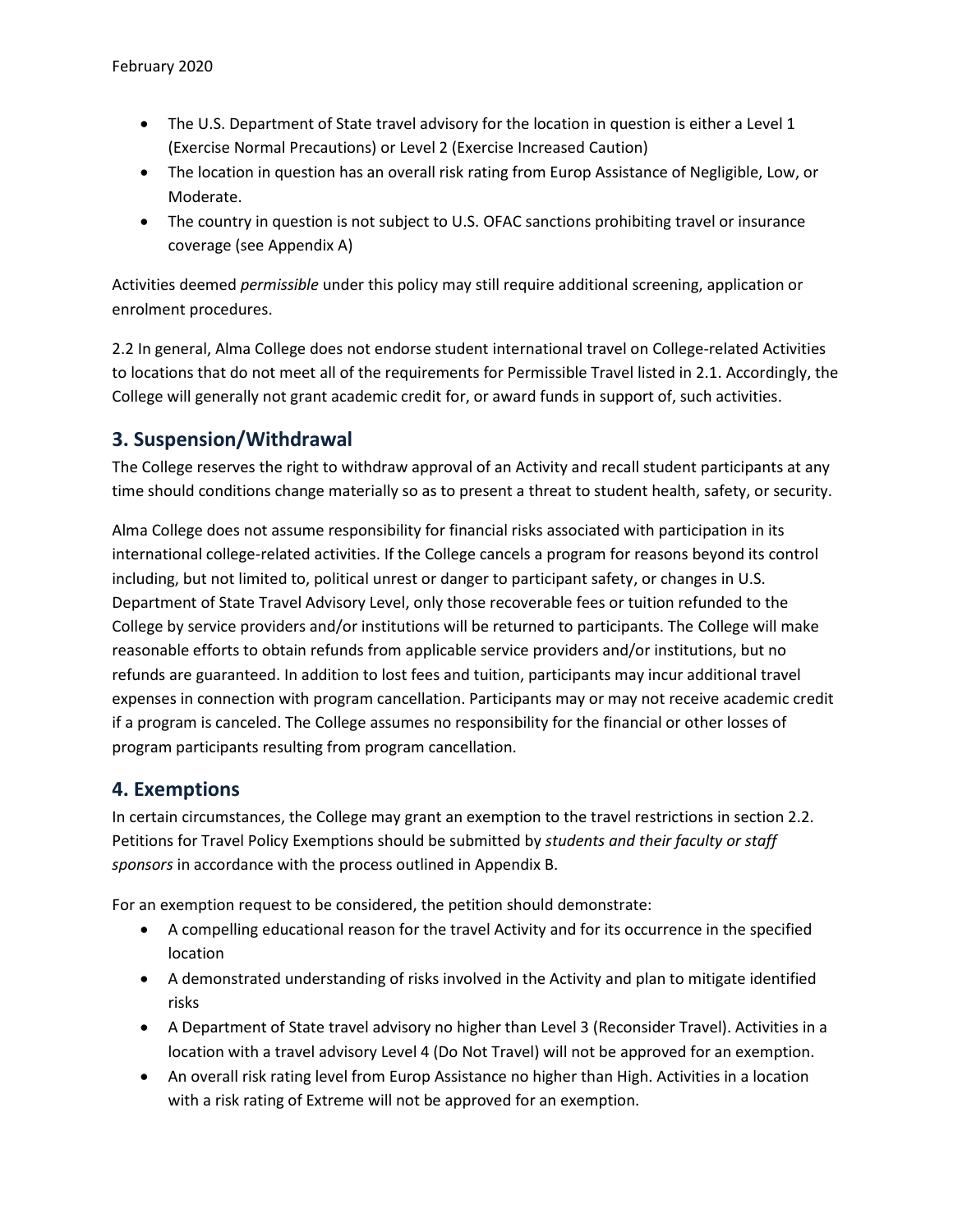- The U.S. Department of State travel advisory for the location in question is either a Level 1 (Exercise Normal Precautions) or Level 2 (Exercise Increased Caution)
- The location in question has an overall risk rating from Europ Assistance of Negligible, Low, or Moderate.
- The country in question is not subject to U.S. OFAC sanctions prohibiting travel or insurance coverage (see Appendix A)

Activities deemed *permissible* under this policy may still require additional screening, application or enrolment procedures.

2.2 In general, Alma College does not endorse student international travel on College-related Activities to locations that do not meet all of the requirements for Permissible Travel listed in 2.1. Accordingly, the College will generally not grant academic credit for, or award funds in support of, such activities.

### **3. Suspension/Withdrawal**

The College reserves the right to withdraw approval of an Activity and recall student participants at any time should conditions change materially so as to present a threat to student health, safety, or security.

Alma College does not assume responsibility for financial risks associated with participation in its international college-related activities. If the College cancels a program for reasons beyond its control including, but not limited to, political unrest or danger to participant safety, or changes in U.S. Department of State Travel Advisory Level, only those recoverable fees or tuition refunded to the College by service providers and/or institutions will be returned to participants. The College will make reasonable efforts to obtain refunds from applicable service providers and/or institutions, but no refunds are guaranteed. In addition to lost fees and tuition, participants may incur additional travel expenses in connection with program cancellation. Participants may or may not receive academic credit if a program is canceled. The College assumes no responsibility for the financial or other losses of program participants resulting from program cancellation.

#### **4. Exemptions**

In certain circumstances, the College may grant an exemption to the travel restrictions in section 2.2. Petitions for Travel Policy Exemptions should be submitted by *students and their faculty or staff sponsors* in accordance with the process outlined in Appendix B.

For an exemption request to be considered, the petition should demonstrate:

- A compelling educational reason for the travel Activity and for its occurrence in the specified location
- A demonstrated understanding of risks involved in the Activity and plan to mitigate identified risks
- A Department of State travel advisory no higher than Level 3 (Reconsider Travel). Activities in a location with a travel advisory Level 4 (Do Not Travel) will not be approved for an exemption.
- An overall risk rating level from Europ Assistance no higher than High. Activities in a location with a risk rating of Extreme will not be approved for an exemption.